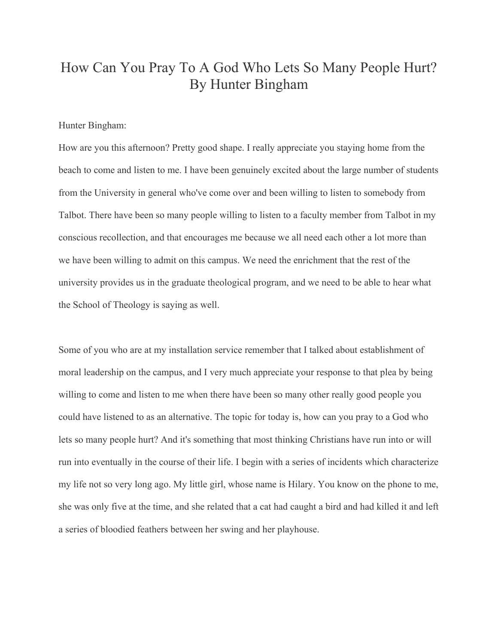## How Can You Pray To A God Who Lets So Many People Hurt? By Hunter Bingham

## Hunter Bingham:

How are you this afternoon? Pretty good shape. I really appreciate you staying home from the beach to come and listen to me. I have been genuinely excited about the large number of students from the University in general who've come over and been willing to listen to somebody from Talbot. There have been so many people willing to listen to a faculty member from Talbot in my conscious recollection, and that encourages me because we all need each other a lot more than we have been willing to admit on this campus. We need the enrichment that the rest of the university provides us in the graduate theological program, and we need to be able to hear what the School of Theology is saying as well.

Some of you who are at my installation service remember that I talked about establishment of moral leadership on the campus, and I very much appreciate your response to that plea by being willing to come and listen to me when there have been so many other really good people you could have listened to as an alternative. The topic for today is, how can you pray to a God who lets so many people hurt? And it's something that most thinking Christians have run into or will run into eventually in the course of their life. I begin with a series of incidents which characterize my life not so very long ago. My little girl, whose name is Hilary. You know on the phone to me, she was only five at the time, and she related that a cat had caught a bird and had killed it and left a series of bloodied feathers between her swing and her playhouse.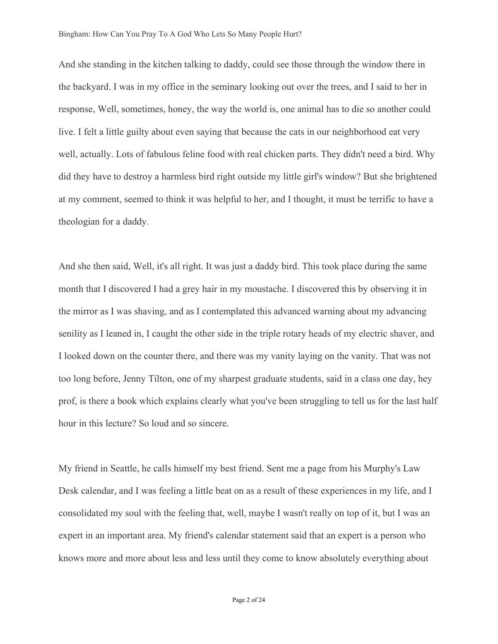And she standing in the kitchen talking to daddy, could see those through the window there in the backyard. I was in my office in the seminary looking out over the trees, and I said to her in response, Well, sometimes, honey, the way the world is, one animal has to die so another could live. I felt a little guilty about even saying that because the cats in our neighborhood eat very well, actually. Lots of fabulous feline food with real chicken parts. They didn't need a bird. Why did they have to destroy a harmless bird right outside my little girl's window? But she brightened at my comment, seemed to think it was helpful to her, and I thought, it must be terrific to have a theologian for a daddy.

And she then said, Well, it's all right. It was just a daddy bird. This took place during the same month that I discovered I had a grey hair in my moustache. I discovered this by observing it in the mirror as I was shaving, and as I contemplated this advanced warning about my advancing senility as I leaned in, I caught the other side in the triple rotary heads of my electric shaver, and I looked down on the counter there, and there was my vanity laying on the vanity. That was not too long before, Jenny Tilton, one of my sharpest graduate students, said in a class one day, hey prof, is there a book which explains clearly what you've been struggling to tell us for the last half hour in this lecture? So loud and so sincere.

My friend in Seattle, he calls himself my best friend. Sent me a page from his Murphy's Law Desk calendar, and I was feeling a little beat on as a result of these experiences in my life, and I consolidated my soul with the feeling that, well, maybe I wasn't really on top of it, but I was an expert in an important area. My friend's calendar statement said that an expert is a person who knows more and more about less and less until they come to know absolutely everything about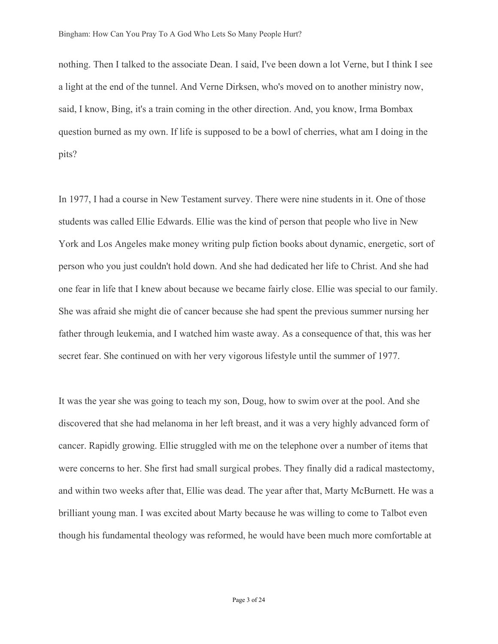nothing. Then I talked to the associate Dean. I said, I've been down a lot Verne, but I think I see a light at the end of the tunnel. And Verne Dirksen, who's moved on to another ministry now, said, I know, Bing, it's a train coming in the other direction. And, you know, Irma Bombax question burned as my own. If life is supposed to be a bowl of cherries, what am I doing in the pits?

In 1977, I had a course in New Testament survey. There were nine students in it. One of those students was called Ellie Edwards. Ellie was the kind of person that people who live in New York and Los Angeles make money writing pulp fiction books about dynamic, energetic, sort of person who you just couldn't hold down. And she had dedicated her life to Christ. And she had one fear in life that I knew about because we became fairly close. Ellie was special to our family. She was afraid she might die of cancer because she had spent the previous summer nursing her father through leukemia, and I watched him waste away. As a consequence of that, this was her secret fear. She continued on with her very vigorous lifestyle until the summer of 1977.

It was the year she was going to teach my son, Doug, how to swim over at the pool. And she discovered that she had melanoma in her left breast, and it was a very highly advanced form of cancer. Rapidly growing. Ellie struggled with me on the telephone over a number of items that were concerns to her. She first had small surgical probes. They finally did a radical mastectomy, and within two weeks after that, Ellie was dead. The year after that, Marty McBurnett. He was a brilliant young man. I was excited about Marty because he was willing to come to Talbot even though his fundamental theology was reformed, he would have been much more comfortable at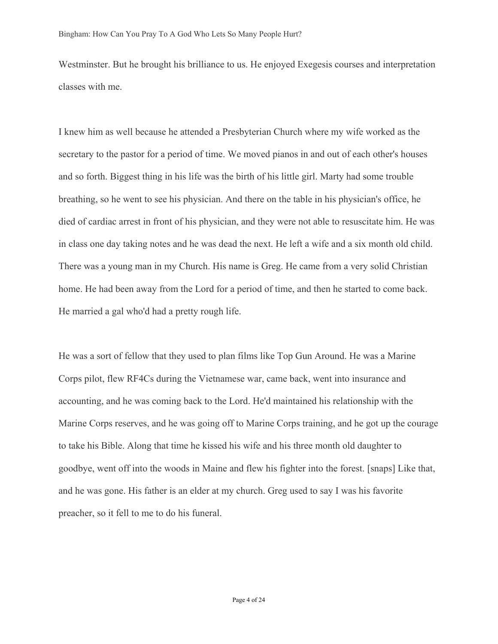Westminster. But he brought his brilliance to us. He enjoyed Exegesis courses and interpretation classes with me.

I knew him as well because he attended a Presbyterian Church where my wife worked as the secretary to the pastor for a period of time. We moved pianos in and out of each other's houses and so forth. Biggest thing in his life was the birth of his little girl. Marty had some trouble breathing, so he went to see his physician. And there on the table in his physician's office, he died of cardiac arrest in front of his physician, and they were not able to resuscitate him. He was in class one day taking notes and he was dead the next. He left a wife and a six month old child. There was a young man in my Church. His name is Greg. He came from a very solid Christian home. He had been away from the Lord for a period of time, and then he started to come back. He married a gal who'd had a pretty rough life.

He was a sort of fellow that they used to plan films like Top Gun Around. He was a Marine Corps pilot, flew RF4Cs during the Vietnamese war, came back, went into insurance and accounting, and he was coming back to the Lord. He'd maintained his relationship with the Marine Corps reserves, and he was going off to Marine Corps training, and he got up the courage to take his Bible. Along that time he kissed his wife and his three month old daughter to goodbye, went off into the woods in Maine and flew his fighter into the forest. [snaps] Like that, and he was gone. His father is an elder at my church. Greg used to say I was his favorite preacher, so it fell to me to do his funeral.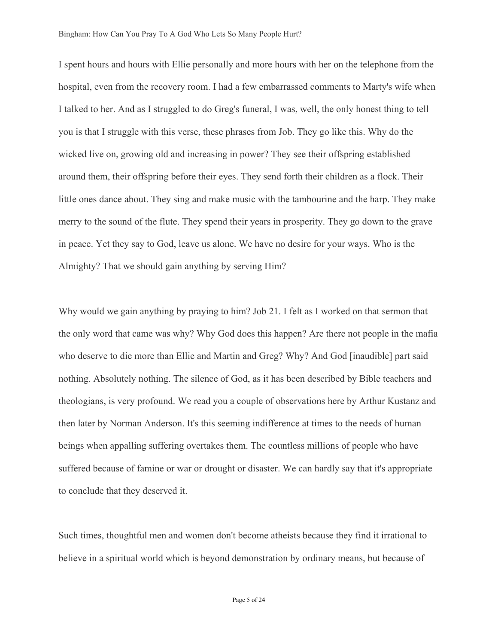I spent hours and hours with Ellie personally and more hours with her on the telephone from the hospital, even from the recovery room. I had a few embarrassed comments to Marty's wife when I talked to her. And as I struggled to do Greg's funeral, I was, well, the only honest thing to tell you is that I struggle with this verse, these phrases from Job. They go like this. Why do the wicked live on, growing old and increasing in power? They see their offspring established around them, their offspring before their eyes. They send forth their children as a flock. Their little ones dance about. They sing and make music with the tambourine and the harp. They make merry to the sound of the flute. They spend their years in prosperity. They go down to the grave in peace. Yet they say to God, leave us alone. We have no desire for your ways. Who is the Almighty? That we should gain anything by serving Him?

Why would we gain anything by praying to him? Job 21. I felt as I worked on that sermon that the only word that came was why? Why God does this happen? Are there not people in the mafia who deserve to die more than Ellie and Martin and Greg? Why? And God [inaudible] part said nothing. Absolutely nothing. The silence of God, as it has been described by Bible teachers and theologians, is very profound. We read you a couple of observations here by Arthur Kustanz and then later by Norman Anderson. It's this seeming indifference at times to the needs of human beings when appalling suffering overtakes them. The countless millions of people who have suffered because of famine or war or drought or disaster. We can hardly say that it's appropriate to conclude that they deserved it.

Such times, thoughtful men and women don't become atheists because they find it irrational to believe in a spiritual world which is beyond demonstration by ordinary means, but because of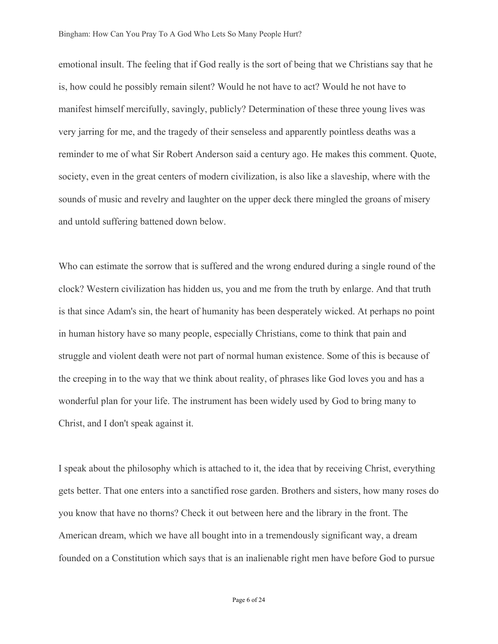emotional insult. The feeling that if God really is the sort of being that we Christians say that he is, how could he possibly remain silent? Would he not have to act? Would he not have to manifest himself mercifully, savingly, publicly? Determination of these three young lives was very jarring for me, and the tragedy of their senseless and apparently pointless deaths was a reminder to me of what Sir Robert Anderson said a century ago. He makes this comment. Quote, society, even in the great centers of modern civilization, is also like a slaveship, where with the sounds of music and revelry and laughter on the upper deck there mingled the groans of misery and untold suffering battened down below.

Who can estimate the sorrow that is suffered and the wrong endured during a single round of the clock? Western civilization has hidden us, you and me from the truth by enlarge. And that truth is that since Adam's sin, the heart of humanity has been desperately wicked. At perhaps no point in human history have so many people, especially Christians, come to think that pain and struggle and violent death were not part of normal human existence. Some of this is because of the creeping in to the way that we think about reality, of phrases like God loves you and has a wonderful plan for your life. The instrument has been widely used by God to bring many to Christ, and I don't speak against it.

I speak about the philosophy which is attached to it, the idea that by receiving Christ, everything gets better. That one enters into a sanctified rose garden. Brothers and sisters, how many roses do you know that have no thorns? Check it out between here and the library in the front. The American dream, which we have all bought into in a tremendously significant way, a dream founded on a Constitution which says that is an inalienable right men have before God to pursue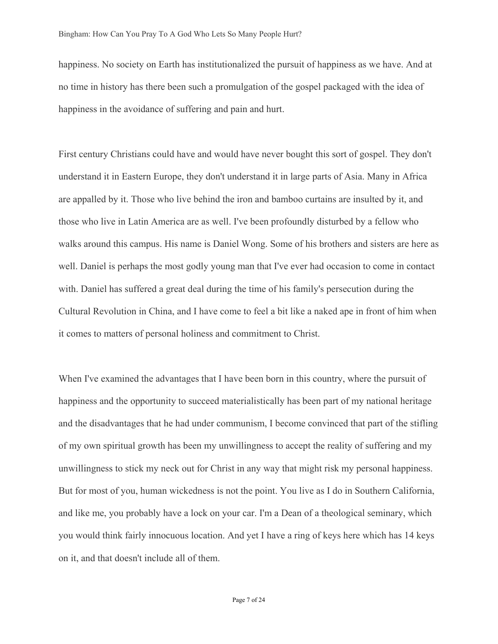happiness. No society on Earth has institutionalized the pursuit of happiness as we have. And at no time in history has there been such a promulgation of the gospel packaged with the idea of happiness in the avoidance of suffering and pain and hurt.

First century Christians could have and would have never bought this sort of gospel. They don't understand it in Eastern Europe, they don't understand it in large parts of Asia. Many in Africa are appalled by it. Those who live behind the iron and bamboo curtains are insulted by it, and those who live in Latin America are as well. I've been profoundly disturbed by a fellow who walks around this campus. His name is Daniel Wong. Some of his brothers and sisters are here as well. Daniel is perhaps the most godly young man that I've ever had occasion to come in contact with. Daniel has suffered a great deal during the time of his family's persecution during the Cultural Revolution in China, and I have come to feel a bit like a naked ape in front of him when it comes to matters of personal holiness and commitment to Christ.

When I've examined the advantages that I have been born in this country, where the pursuit of happiness and the opportunity to succeed materialistically has been part of my national heritage and the disadvantages that he had under communism, I become convinced that part of the stifling of my own spiritual growth has been my unwillingness to accept the reality of suffering and my unwillingness to stick my neck out for Christ in any way that might risk my personal happiness. But for most of you, human wickedness is not the point. You live as I do in Southern California, and like me, you probably have a lock on your car. I'm a Dean of a theological seminary, which you would think fairly innocuous location. And yet I have a ring of keys here which has 14 keys on it, and that doesn't include all of them.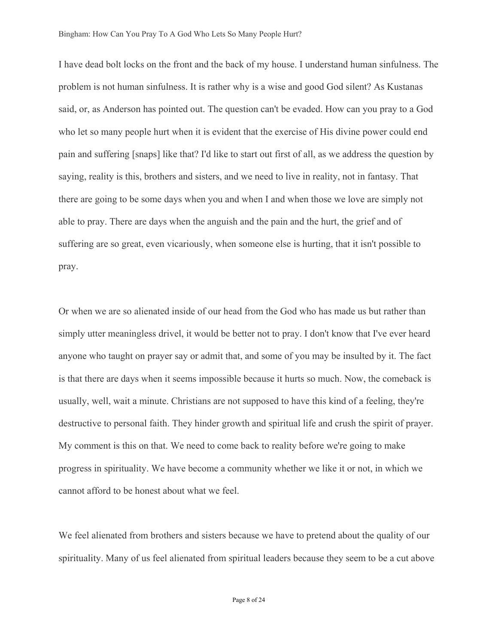I have dead bolt locks on the front and the back of my house. I understand human sinfulness. The problem is not human sinfulness. It is rather why is a wise and good God silent? As Kustanas said, or, as Anderson has pointed out. The question can't be evaded. How can you pray to a God who let so many people hurt when it is evident that the exercise of His divine power could end pain and suffering [snaps] like that? I'd like to start out first of all, as we address the question by saying, reality is this, brothers and sisters, and we need to live in reality, not in fantasy. That there are going to be some days when you and when I and when those we love are simply not able to pray. There are days when the anguish and the pain and the hurt, the grief and of suffering are so great, even vicariously, when someone else is hurting, that it isn't possible to pray.

Or when we are so alienated inside of our head from the God who has made us but rather than simply utter meaningless drivel, it would be better not to pray. I don't know that I've ever heard anyone who taught on prayer say or admit that, and some of you may be insulted by it. The fact is that there are days when it seems impossible because it hurts so much. Now, the comeback is usually, well, wait a minute. Christians are not supposed to have this kind of a feeling, they're destructive to personal faith. They hinder growth and spiritual life and crush the spirit of prayer. My comment is this on that. We need to come back to reality before we're going to make progress in spirituality. We have become a community whether we like it or not, in which we cannot afford to be honest about what we feel.

We feel alienated from brothers and sisters because we have to pretend about the quality of our spirituality. Many of us feel alienated from spiritual leaders because they seem to be a cut above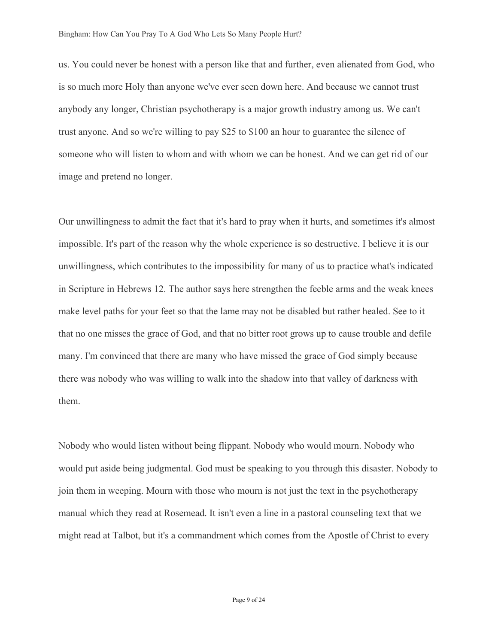us. You could never be honest with a person like that and further, even alienated from God, who is so much more Holy than anyone we've ever seen down here. And because we cannot trust anybody any longer, Christian psychotherapy is a major growth industry among us. We can't trust anyone. And so we're willing to pay \$25 to \$100 an hour to guarantee the silence of someone who will listen to whom and with whom we can be honest. And we can get rid of our image and pretend no longer.

Our unwillingness to admit the fact that it's hard to pray when it hurts, and sometimes it's almost impossible. It's part of the reason why the whole experience is so destructive. I believe it is our unwillingness, which contributes to the impossibility for many of us to practice what's indicated in Scripture in Hebrews 12. The author says here strengthen the feeble arms and the weak knees make level paths for your feet so that the lame may not be disabled but rather healed. See to it that no one misses the grace of God, and that no bitter root grows up to cause trouble and defile many. I'm convinced that there are many who have missed the grace of God simply because there was nobody who was willing to walk into the shadow into that valley of darkness with them.

Nobody who would listen without being flippant. Nobody who would mourn. Nobody who would put aside being judgmental. God must be speaking to you through this disaster. Nobody to join them in weeping. Mourn with those who mourn is not just the text in the psychotherapy manual which they read at Rosemead. It isn't even a line in a pastoral counseling text that we might read at Talbot, but it's a commandment which comes from the Apostle of Christ to every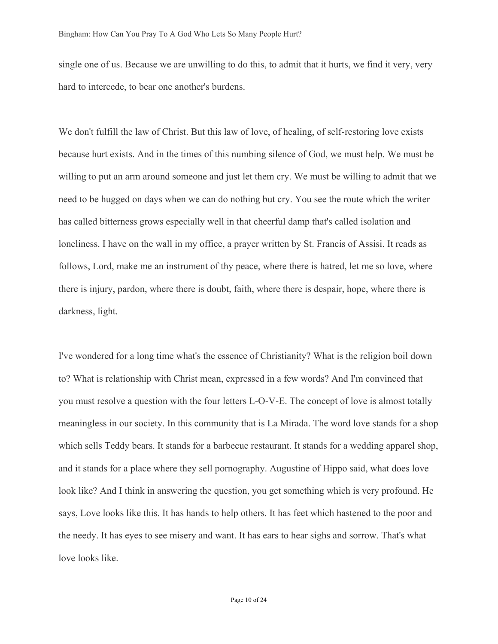single one of us. Because we are unwilling to do this, to admit that it hurts, we find it very, very hard to intercede, to bear one another's burdens.

We don't fulfill the law of Christ. But this law of love, of healing, of self-restoring love exists because hurt exists. And in the times of this numbing silence of God, we must help. We must be willing to put an arm around someone and just let them cry. We must be willing to admit that we need to be hugged on days when we can do nothing but cry. You see the route which the writer has called bitterness grows especially well in that cheerful damp that's called isolation and loneliness. I have on the wall in my office, a prayer written by St. Francis of Assisi. It reads as follows, Lord, make me an instrument of thy peace, where there is hatred, let me so love, where there is injury, pardon, where there is doubt, faith, where there is despair, hope, where there is darkness, light.

I've wondered for a long time what's the essence of Christianity? What is the religion boil down to? What is relationship with Christ mean, expressed in a few words? And I'm convinced that you must resolve a question with the four letters L-O-V-E. The concept of love is almost totally meaningless in our society. In this community that is La Mirada. The word love stands for a shop which sells Teddy bears. It stands for a barbecue restaurant. It stands for a wedding apparel shop, and it stands for a place where they sell pornography. Augustine of Hippo said, what does love look like? And I think in answering the question, you get something which is very profound. He says, Love looks like this. It has hands to help others. It has feet which hastened to the poor and the needy. It has eyes to see misery and want. It has ears to hear sighs and sorrow. That's what love looks like.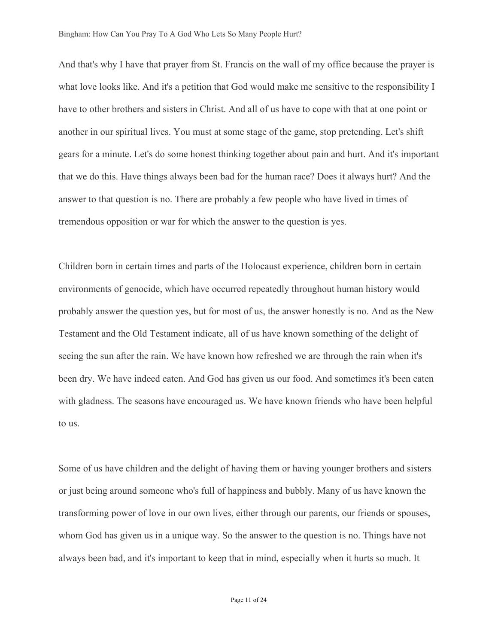And that's why I have that prayer from St. Francis on the wall of my office because the prayer is what love looks like. And it's a petition that God would make me sensitive to the responsibility I have to other brothers and sisters in Christ. And all of us have to cope with that at one point or another in our spiritual lives. You must at some stage of the game, stop pretending. Let's shift gears for a minute. Let's do some honest thinking together about pain and hurt. And it's important that we do this. Have things always been bad for the human race? Does it always hurt? And the answer to that question is no. There are probably a few people who have lived in times of tremendous opposition or war for which the answer to the question is yes.

Children born in certain times and parts of the Holocaust experience, children born in certain environments of genocide, which have occurred repeatedly throughout human history would probably answer the question yes, but for most of us, the answer honestly is no. And as the New Testament and the Old Testament indicate, all of us have known something of the delight of seeing the sun after the rain. We have known how refreshed we are through the rain when it's been dry. We have indeed eaten. And God has given us our food. And sometimes it's been eaten with gladness. The seasons have encouraged us. We have known friends who have been helpful to us.

Some of us have children and the delight of having them or having younger brothers and sisters or just being around someone who's full of happiness and bubbly. Many of us have known the transforming power of love in our own lives, either through our parents, our friends or spouses, whom God has given us in a unique way. So the answer to the question is no. Things have not always been bad, and it's important to keep that in mind, especially when it hurts so much. It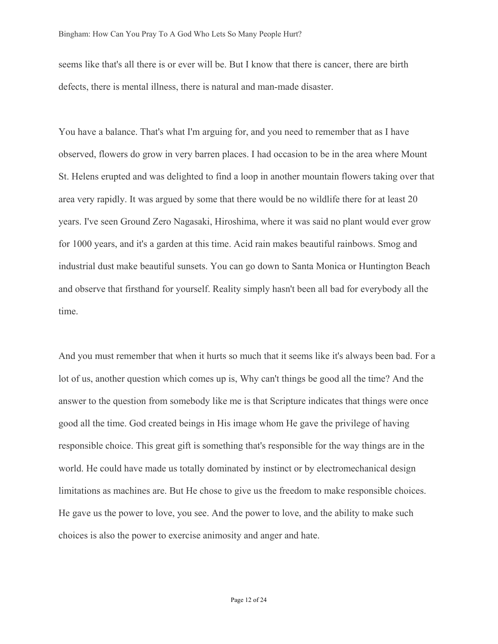seems like that's all there is or ever will be. But I know that there is cancer, there are birth defects, there is mental illness, there is natural and man-made disaster.

You have a balance. That's what I'm arguing for, and you need to remember that as I have observed, flowers do grow in very barren places. I had occasion to be in the area where Mount St. Helens erupted and was delighted to find a loop in another mountain flowers taking over that area very rapidly. It was argued by some that there would be no wildlife there for at least 20 years. I've seen Ground Zero Nagasaki, Hiroshima, where it was said no plant would ever grow for 1000 years, and it's a garden at this time. Acid rain makes beautiful rainbows. Smog and industrial dust make beautiful sunsets. You can go down to Santa Monica or Huntington Beach and observe that firsthand for yourself. Reality simply hasn't been all bad for everybody all the time.

And you must remember that when it hurts so much that it seems like it's always been bad. For a lot of us, another question which comes up is, Why can't things be good all the time? And the answer to the question from somebody like me is that Scripture indicates that things were once good all the time. God created beings in His image whom He gave the privilege of having responsible choice. This great gift is something that's responsible for the way things are in the world. He could have made us totally dominated by instinct or by electromechanical design limitations as machines are. But He chose to give us the freedom to make responsible choices. He gave us the power to love, you see. And the power to love, and the ability to make such choices is also the power to exercise animosity and anger and hate.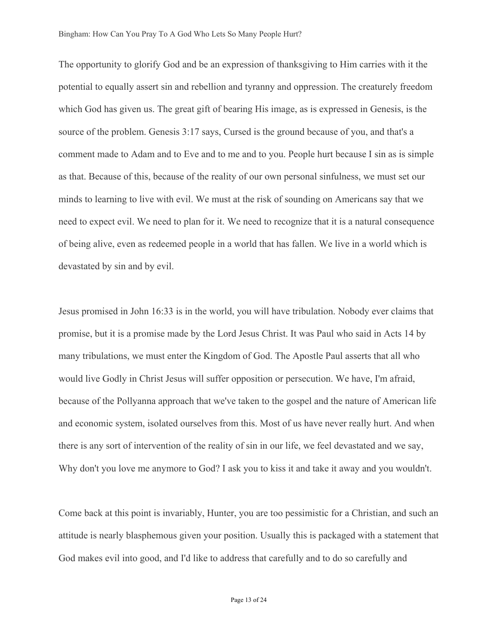The opportunity to glorify God and be an expression of thanksgiving to Him carries with it the potential to equally assert sin and rebellion and tyranny and oppression. The creaturely freedom which God has given us. The great gift of bearing His image, as is expressed in Genesis, is the source of the problem. Genesis 3:17 says, Cursed is the ground because of you, and that's a comment made to Adam and to Eve and to me and to you. People hurt because I sin as is simple as that. Because of this, because of the reality of our own personal sinfulness, we must set our minds to learning to live with evil. We must at the risk of sounding on Americans say that we need to expect evil. We need to plan for it. We need to recognize that it is a natural consequence of being alive, even as redeemed people in a world that has fallen. We live in a world which is devastated by sin and by evil.

Jesus promised in John 16:33 is in the world, you will have tribulation. Nobody ever claims that promise, but it is a promise made by the Lord Jesus Christ. It was Paul who said in Acts 14 by many tribulations, we must enter the Kingdom of God. The Apostle Paul asserts that all who would live Godly in Christ Jesus will suffer opposition or persecution. We have, I'm afraid, because of the Pollyanna approach that we've taken to the gospel and the nature of American life and economic system, isolated ourselves from this. Most of us have never really hurt. And when there is any sort of intervention of the reality of sin in our life, we feel devastated and we say, Why don't you love me anymore to God? I ask you to kiss it and take it away and you wouldn't.

Come back at this point is invariably, Hunter, you are too pessimistic for a Christian, and such an attitude is nearly blasphemous given your position. Usually this is packaged with a statement that God makes evil into good, and I'd like to address that carefully and to do so carefully and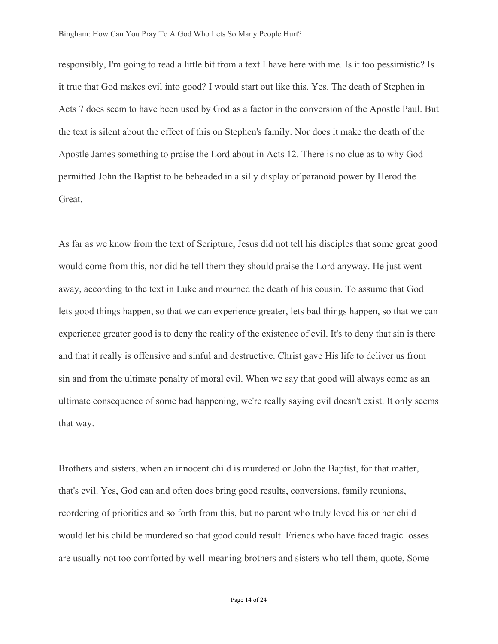responsibly, I'm going to read a little bit from a text I have here with me. Is it too pessimistic? Is it true that God makes evil into good? I would start out like this. Yes. The death of Stephen in Acts 7 does seem to have been used by God as a factor in the conversion of the Apostle Paul. But the text is silent about the effect of this on Stephen's family. Nor does it make the death of the Apostle James something to praise the Lord about in Acts 12. There is no clue as to why God permitted John the Baptist to be beheaded in a silly display of paranoid power by Herod the Great.

As far as we know from the text of Scripture, Jesus did not tell his disciples that some great good would come from this, nor did he tell them they should praise the Lord anyway. He just went away, according to the text in Luke and mourned the death of his cousin. To assume that God lets good things happen, so that we can experience greater, lets bad things happen, so that we can experience greater good is to deny the reality of the existence of evil. It's to deny that sin is there and that it really is offensive and sinful and destructive. Christ gave His life to deliver us from sin and from the ultimate penalty of moral evil. When we say that good will always come as an ultimate consequence of some bad happening, we're really saying evil doesn't exist. It only seems that way.

Brothers and sisters, when an innocent child is murdered or John the Baptist, for that matter, that's evil. Yes, God can and often does bring good results, conversions, family reunions, reordering of priorities and so forth from this, but no parent who truly loved his or her child would let his child be murdered so that good could result. Friends who have faced tragic losses are usually not too comforted by well-meaning brothers and sisters who tell them, quote, Some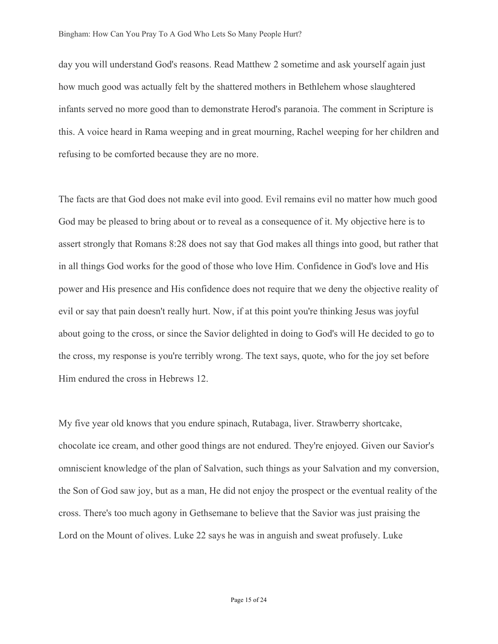day you will understand God's reasons. Read Matthew 2 sometime and ask yourself again just how much good was actually felt by the shattered mothers in Bethlehem whose slaughtered infants served no more good than to demonstrate Herod's paranoia. The comment in Scripture is this. A voice heard in Rama weeping and in great mourning, Rachel weeping for her children and refusing to be comforted because they are no more.

The facts are that God does not make evil into good. Evil remains evil no matter how much good God may be pleased to bring about or to reveal as a consequence of it. My objective here is to assert strongly that Romans 8:28 does not say that God makes all things into good, but rather that in all things God works for the good of those who love Him. Confidence in God's love and His power and His presence and His confidence does not require that we deny the objective reality of evil or say that pain doesn't really hurt. Now, if at this point you're thinking Jesus was joyful about going to the cross, or since the Savior delighted in doing to God's will He decided to go to the cross, my response is you're terribly wrong. The text says, quote, who for the joy set before Him endured the cross in Hebrews 12.

My five year old knows that you endure spinach, Rutabaga, liver. Strawberry shortcake, chocolate ice cream, and other good things are not endured. They're enjoyed. Given our Savior's omniscient knowledge of the plan of Salvation, such things as your Salvation and my conversion, the Son of God saw joy, but as a man, He did not enjoy the prospect or the eventual reality of the cross. There's too much agony in Gethsemane to believe that the Savior was just praising the Lord on the Mount of olives. Luke 22 says he was in anguish and sweat profusely. Luke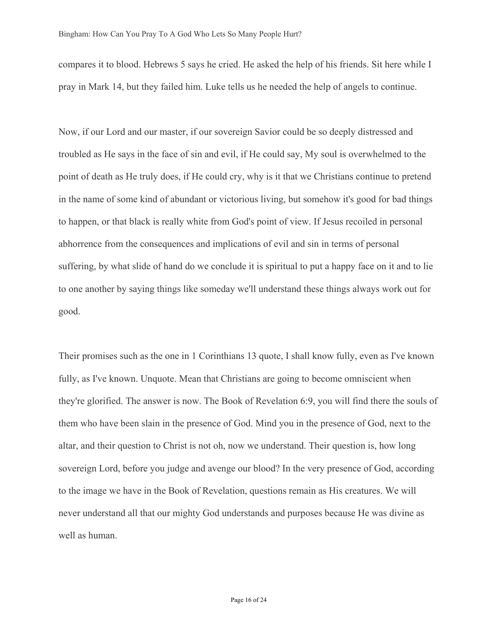compares it to blood. Hebrews 5 says he cried. He asked the help of his friends. Sit here while I pray in Mark 14, but they failed him. Luke tells us he needed the help of angels to continue.

Now, if our Lord and our master, if our sovereign Savior could be so deeply distressed and troubled as He says in the face of sin and evil, if He could say, My soul is overwhelmed to the point of death as He truly does, if He could cry, why is it that we Christians continue to pretend in the name of some kind of abundant or victorious living, but somehow it's good for bad things to happen, or that black is really white from God's point of view. If Jesus recoiled in personal abhorrence from the consequences and implications of evil and sin in terms of personal suffering, by what slide of hand do we conclude it is spiritual to put a happy face on it and to lie to one another by saying things like someday we'll understand these things always work out for good.

Their promises such as the one in 1 Corinthians 13 quote, I shall know fully, even as I've known fully, as I've known. Unquote. Mean that Christians are going to become omniscient when they're glorified. The answer is now. The Book of Revelation 6:9, you will find there the souls of them who have been slain in the presence of God. Mind you in the presence of God, next to the altar, and their question to Christ is not oh, now we understand. Their question is, how long sovereign Lord, before you judge and avenge our blood? In the very presence of God, according to the image we have in the Book of Revelation, questions remain as His creatures. We will never understand all that our mighty God understands and purposes because He was divine as well as human.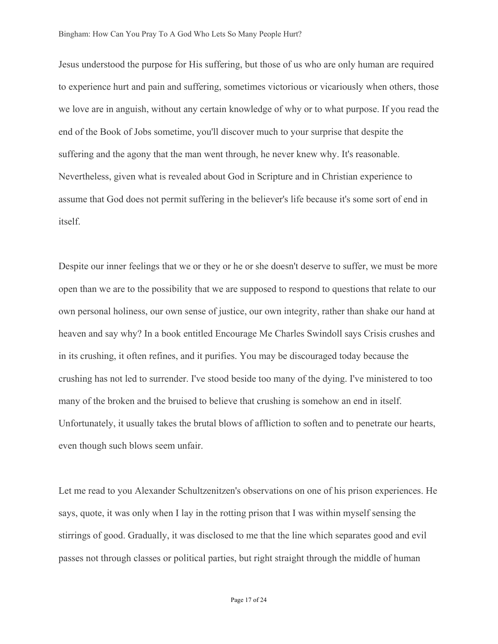Jesus understood the purpose for His suffering, but those of us who are only human are required to experience hurt and pain and suffering, sometimes victorious or vicariously when others, those we love are in anguish, without any certain knowledge of why or to what purpose. If you read the end of the Book of Jobs sometime, you'll discover much to your surprise that despite the suffering and the agony that the man went through, he never knew why. It's reasonable. Nevertheless, given what is revealed about God in Scripture and in Christian experience to assume that God does not permit suffering in the believer's life because it's some sort of end in itself.

Despite our inner feelings that we or they or he or she doesn't deserve to suffer, we must be more open than we are to the possibility that we are supposed to respond to questions that relate to our own personal holiness, our own sense of justice, our own integrity, rather than shake our hand at heaven and say why? In a book entitled Encourage Me Charles Swindoll says Crisis crushes and in its crushing, it often refines, and it purifies. You may be discouraged today because the crushing has not led to surrender. I've stood beside too many of the dying. I've ministered to too many of the broken and the bruised to believe that crushing is somehow an end in itself. Unfortunately, it usually takes the brutal blows of affliction to soften and to penetrate our hearts, even though such blows seem unfair.

Let me read to you Alexander Schultzenitzen's observations on one of his prison experiences. He says, quote, it was only when I lay in the rotting prison that I was within myself sensing the stirrings of good. Gradually, it was disclosed to me that the line which separates good and evil passes not through classes or political parties, but right straight through the middle of human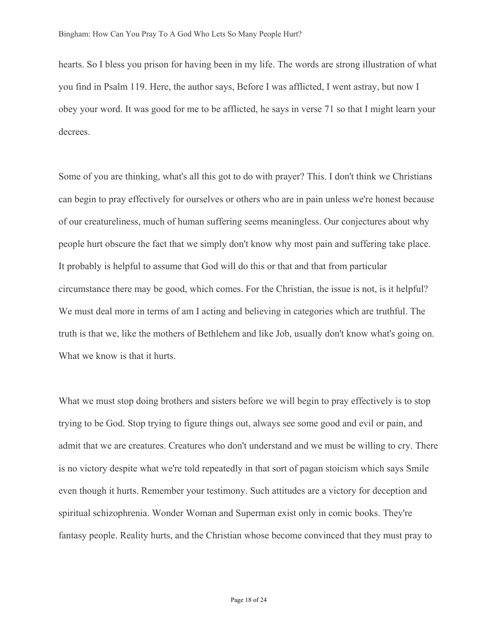hearts. So I bless you prison for having been in my life. The words are strong illustration of what you find in Psalm 119. Here, the author says, Before I was afflicted, I went astray, but now I obey your word. It was good for me to be afflicted, he says in verse 71 so that I might learn your decrees.

Some of you are thinking, what's all this got to do with prayer? This. I don't think we Christians can begin to pray effectively for ourselves or others who are in pain unless we're honest because of our creatureliness, much of human suffering seems meaningless. Our conjectures about why people hurt obscure the fact that we simply don't know why most pain and suffering take place. It probably is helpful to assume that God will do this or that and that from particular circumstance there may be good, which comes. For the Christian, the issue is not, is it helpful? We must deal more in terms of am I acting and believing in categories which are truthful. The truth is that we, like the mothers of Bethlehem and like Job, usually don't know what's going on. What we know is that it hurts.

What we must stop doing brothers and sisters before we will begin to pray effectively is to stop trying to be God. Stop trying to figure things out, always see some good and evil or pain, and admit that we are creatures. Creatures who don't understand and we must be willing to cry. There is no victory despite what we're told repeatedly in that sort of pagan stoicism which says Smile even though it hurts. Remember your testimony. Such attitudes are a victory for deception and spiritual schizophrenia. Wonder Woman and Superman exist only in comic books. They're fantasy people. Reality hurts, and the Christian whose become convinced that they must pray to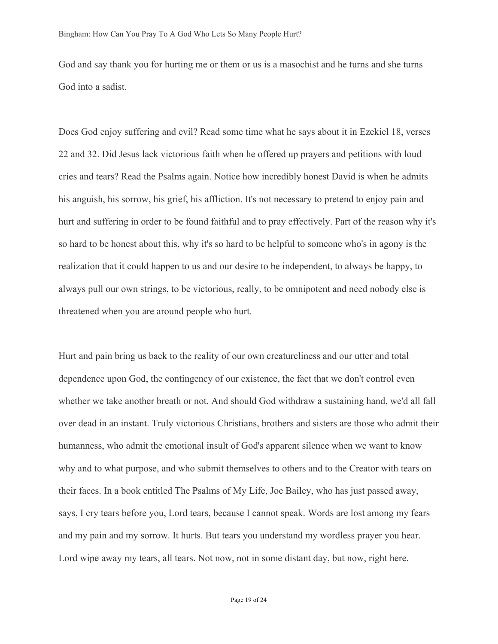God and say thank you for hurting me or them or us is a masochist and he turns and she turns God into a sadist.

Does God enjoy suffering and evil? Read some time what he says about it in Ezekiel 18, verses 22 and 32. Did Jesus lack victorious faith when he offered up prayers and petitions with loud cries and tears? Read the Psalms again. Notice how incredibly honest David is when he admits his anguish, his sorrow, his grief, his affliction. It's not necessary to pretend to enjoy pain and hurt and suffering in order to be found faithful and to pray effectively. Part of the reason why it's so hard to be honest about this, why it's so hard to be helpful to someone who's in agony is the realization that it could happen to us and our desire to be independent, to always be happy, to always pull our own strings, to be victorious, really, to be omnipotent and need nobody else is threatened when you are around people who hurt.

Hurt and pain bring us back to the reality of our own creatureliness and our utter and total dependence upon God, the contingency of our existence, the fact that we don't control even whether we take another breath or not. And should God withdraw a sustaining hand, we'd all fall over dead in an instant. Truly victorious Christians, brothers and sisters are those who admit their humanness, who admit the emotional insult of God's apparent silence when we want to know why and to what purpose, and who submit themselves to others and to the Creator with tears on their faces. In a book entitled The Psalms of My Life, Joe Bailey, who has just passed away, says, I cry tears before you, Lord tears, because I cannot speak. Words are lost among my fears and my pain and my sorrow. It hurts. But tears you understand my wordless prayer you hear. Lord wipe away my tears, all tears. Not now, not in some distant day, but now, right here.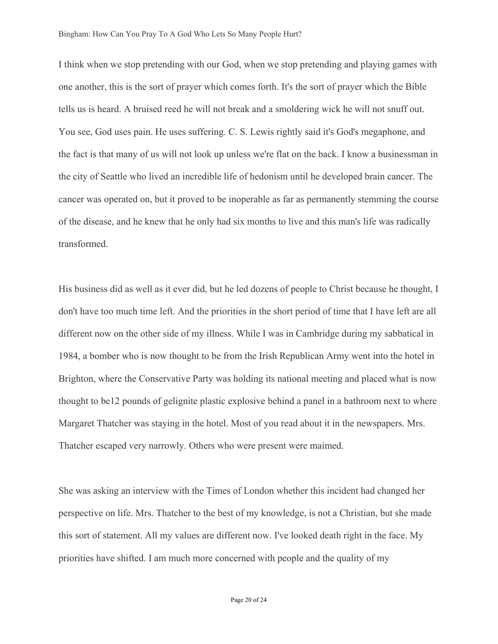I think when we stop pretending with our God, when we stop pretending and playing games with one another, this is the sort of prayer which comes forth. It's the sort of prayer which the Bible tells us is heard. A bruised reed he will not break and a smoldering wick he will not snuff out. You see, God uses pain. He uses suffering. C. S. Lewis rightly said it's God's megaphone, and the fact is that many of us will not look up unless we're flat on the back. I know a businessman in the city of Seattle who lived an incredible life of hedonism until he developed brain cancer. The cancer was operated on, but it proved to be inoperable as far as permanently stemming the course of the disease, and he knew that he only had six months to live and this man's life was radically transformed.

His business did as well as it ever did, but he led dozens of people to Christ because he thought, I don't have too much time left. And the priorities in the short period of time that I have left are all different now on the other side of my illness. While I was in Cambridge during my sabbatical in 1984, a bomber who is now thought to be from the Irish Republican Army went into the hotel in Brighton, where the Conservative Party was holding its national meeting and placed what is now thought to be12 pounds of gelignite plastic explosive behind a panel in a bathroom next to where Margaret Thatcher was staying in the hotel. Most of you read about it in the newspapers. Mrs. Thatcher escaped very narrowly. Others who were present were maimed.

She was asking an interview with the Times of London whether this incident had changed her perspective on life. Mrs. Thatcher to the best of my knowledge, is not a Christian, but she made this sort of statement. All my values are different now. I've looked death right in the face. My priorities have shifted. I am much more concerned with people and the quality of my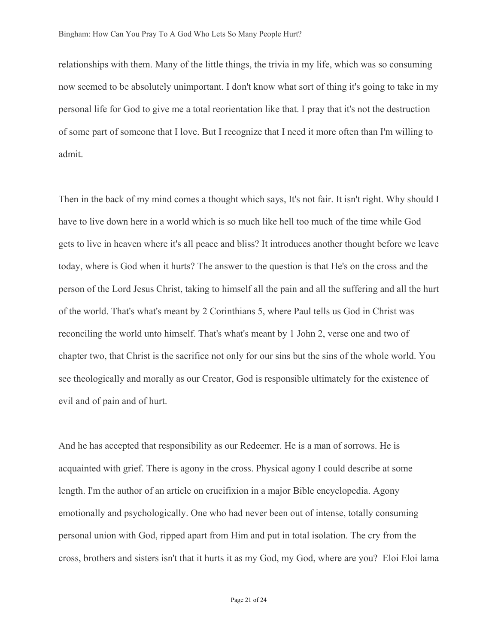relationships with them. Many of the little things, the trivia in my life, which was so consuming now seemed to be absolutely unimportant. I don't know what sort of thing it's going to take in my personal life for God to give me a total reorientation like that. I pray that it's not the destruction of some part of someone that I love. But I recognize that I need it more often than I'm willing to admit.

Then in the back of my mind comes a thought which says, It's not fair. It isn't right. Why should I have to live down here in a world which is so much like hell too much of the time while God gets to live in heaven where it's all peace and bliss? It introduces another thought before we leave today, where is God when it hurts? The answer to the question is that He's on the cross and the person of the Lord Jesus Christ, taking to himself all the pain and all the suffering and all the hurt of the world. That's what's meant by 2 Corinthians 5, where Paul tells us God in Christ was reconciling the world unto himself. That's what's meant by 1 John 2, verse one and two of chapter two, that Christ is the sacrifice not only for our sins but the sins of the whole world. You see theologically and morally as our Creator, God is responsible ultimately for the existence of evil and of pain and of hurt.

And he has accepted that responsibility as our Redeemer. He is a man of sorrows. He is acquainted with grief. There is agony in the cross. Physical agony I could describe at some length. I'm the author of an article on crucifixion in a major Bible encyclopedia. Agony emotionally and psychologically. One who had never been out of intense, totally consuming personal union with God, ripped apart from Him and put in total isolation. The cry from the cross, brothers and sisters isn't that it hurts it as my God, my God, where are you? Eloi Eloi lama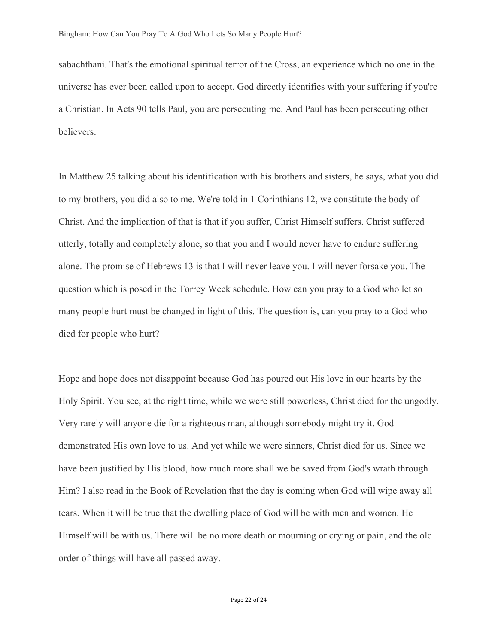sabachthani. That's the emotional spiritual terror of the Cross, an experience which no one in the universe has ever been called upon to accept. God directly identifies with your suffering if you're a Christian. In Acts 90 tells Paul, you are persecuting me. And Paul has been persecuting other believers.

In Matthew 25 talking about his identification with his brothers and sisters, he says, what you did to my brothers, you did also to me. We're told in 1 Corinthians 12, we constitute the body of Christ. And the implication of that is that if you suffer, Christ Himself suffers. Christ suffered utterly, totally and completely alone, so that you and I would never have to endure suffering alone. The promise of Hebrews 13 is that I will never leave you. I will never forsake you. The question which is posed in the Torrey Week schedule. How can you pray to a God who let so many people hurt must be changed in light of this. The question is, can you pray to a God who died for people who hurt?

Hope and hope does not disappoint because God has poured out His love in our hearts by the Holy Spirit. You see, at the right time, while we were still powerless, Christ died for the ungodly. Very rarely will anyone die for a righteous man, although somebody might try it. God demonstrated His own love to us. And yet while we were sinners, Christ died for us. Since we have been justified by His blood, how much more shall we be saved from God's wrath through Him? I also read in the Book of Revelation that the day is coming when God will wipe away all tears. When it will be true that the dwelling place of God will be with men and women. He Himself will be with us. There will be no more death or mourning or crying or pain, and the old order of things will have all passed away.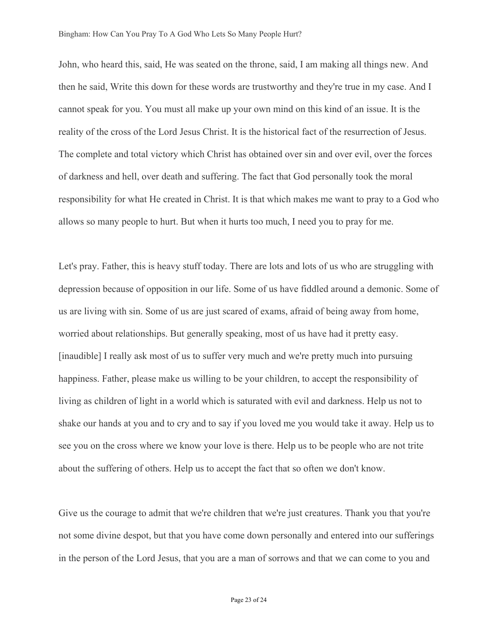John, who heard this, said, He was seated on the throne, said, I am making all things new. And then he said, Write this down for these words are trustworthy and they're true in my case. And I cannot speak for you. You must all make up your own mind on this kind of an issue. It is the reality of the cross of the Lord Jesus Christ. It is the historical fact of the resurrection of Jesus. The complete and total victory which Christ has obtained over sin and over evil, over the forces of darkness and hell, over death and suffering. The fact that God personally took the moral responsibility for what He created in Christ. It is that which makes me want to pray to a God who allows so many people to hurt. But when it hurts too much, I need you to pray for me.

Let's pray. Father, this is heavy stuff today. There are lots and lots of us who are struggling with depression because of opposition in our life. Some of us have fiddled around a demonic. Some of us are living with sin. Some of us are just scared of exams, afraid of being away from home, worried about relationships. But generally speaking, most of us have had it pretty easy. [inaudible] I really ask most of us to suffer very much and we're pretty much into pursuing happiness. Father, please make us willing to be your children, to accept the responsibility of living as children of light in a world which is saturated with evil and darkness. Help us not to shake our hands at you and to cry and to say if you loved me you would take it away. Help us to see you on the cross where we know your love is there. Help us to be people who are not trite about the suffering of others. Help us to accept the fact that so often we don't know.

Give us the courage to admit that we're children that we're just creatures. Thank you that you're not some divine despot, but that you have come down personally and entered into our sufferings in the person of the Lord Jesus, that you are a man of sorrows and that we can come to you and